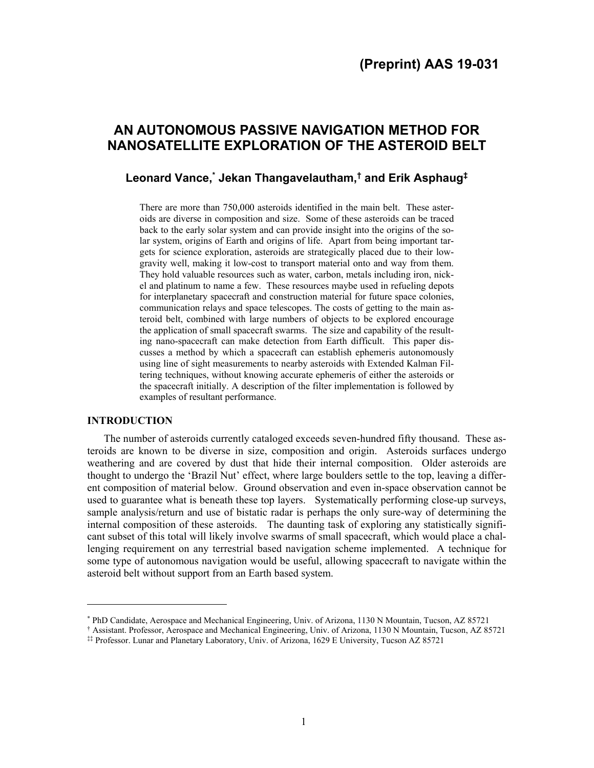# **AN AUTONOMOUS PASSIVE NAVIGATION METHOD FOR NANOSATELLITE EXPLORATION OF THE ASTEROID BELT**

# **Leonard Vance,\* Jekan Thangavelautham,† and Erik Asphaug‡**

There are more than 750,000 asteroids identified in the main belt. These asteroids are diverse in composition and size. Some of these asteroids can be traced back to the early solar system and can provide insight into the origins of the solar system, origins of Earth and origins of life. Apart from being important targets for science exploration, asteroids are strategically placed due to their lowgravity well, making it low-cost to transport material onto and way from them. They hold valuable resources such as water, carbon, metals including iron, nickel and platinum to name a few. These resources maybe used in refueling depots for interplanetary spacecraft and construction material for future space colonies, communication relays and space telescopes. The costs of getting to the main asteroid belt, combined with large numbers of objects to be explored encourage the application of small spacecraft swarms. The size and capability of the resulting nano-spacecraft can make detection from Earth difficult. This paper discusses a method by which a spacecraft can establish ephemeris autonomously using line of sight measurements to nearby asteroids with Extended Kalman Filtering techniques, without knowing accurate ephemeris of either the asteroids or the spacecraft initially. A description of the filter implementation is followed by examples of resultant performance.

## **INTRODUCTION**

l

 The number of asteroids currently cataloged exceeds seven-hundred fifty thousand. These asteroids are known to be diverse in size, composition and origin. Asteroids surfaces undergo weathering and are covered by dust that hide their internal composition. Older asteroids are thought to undergo the 'Brazil Nut' effect, where large boulders settle to the top, leaving a different composition of material below. Ground observation and even in-space observation cannot be used to guarantee what is beneath these top layers. Systematically performing close-up surveys, sample analysis/return and use of bistatic radar is perhaps the only sure-way of determining the internal composition of these asteroids. The daunting task of exploring any statistically significant subset of this total will likely involve swarms of small spacecraft, which would place a challenging requirement on any terrestrial based navigation scheme implemented. A technique for some type of autonomous navigation would be useful, allowing spacecraft to navigate within the asteroid belt without support from an Earth based system.

‡‡ Professor. Lunar and Planetary Laboratory, Univ. of Arizona, 1629 E University, Tucson AZ 85721

<sup>\*</sup> PhD Candidate, Aerospace and Mechanical Engineering, Univ. of Arizona, 1130 N Mountain, Tucson, AZ 85721

<sup>†</sup> Assistant. Professor, Aerospace and Mechanical Engineering, Univ. of Arizona, 1130 N Mountain, Tucson, AZ 85721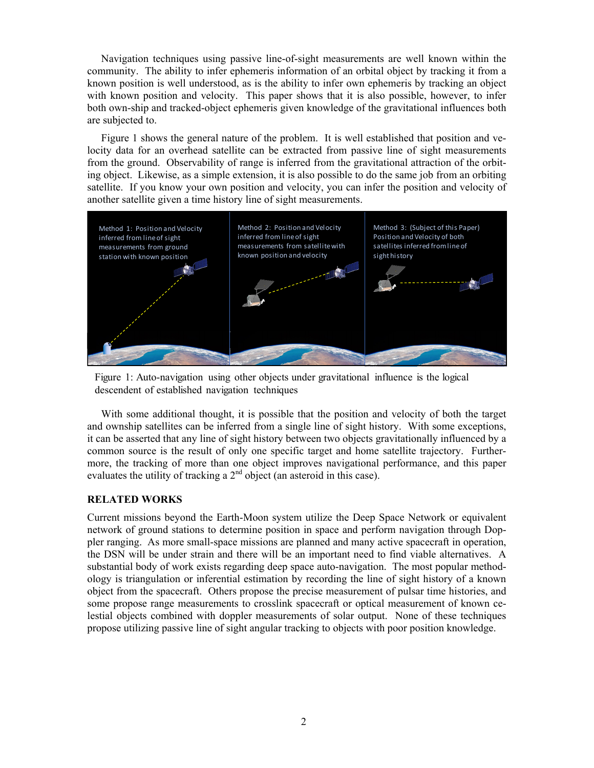Navigation techniques using passive line-of-sight measurements are well known within the community. The ability to infer ephemeris information of an orbital object by tracking it from a known position is well understood, as is the ability to infer own ephemeris by tracking an object with known position and velocity. This paper shows that it is also possible, however, to infer both own-ship and tracked-object ephemeris given knowledge of the gravitational influences both are subjected to.

Figure 1 shows the general nature of the problem. It is well established that position and velocity data for an overhead satellite can be extracted from passive line of sight measurements from the ground. Observability of range is inferred from the gravitational attraction of the orbiting object. Likewise, as a simple extension, it is also possible to do the same job from an orbiting satellite. If you know your own position and velocity, you can infer the position and velocity of another satellite given a time history line of sight measurements.



Figure 1: Auto-navigation using other objects under gravitational influence is the logical descendent of established navigation techniques

With some additional thought, it is possible that the position and velocity of both the target and ownship satellites can be inferred from a single line of sight history. With some exceptions, it can be asserted that any line of sight history between two objects gravitationally influenced by a common source is the result of only one specific target and home satellite trajectory. Furthermore, the tracking of more than one object improves navigational performance, and this paper evaluates the utility of tracking a  $2<sup>nd</sup>$  object (an asteroid in this case).

# **RELATED WORKS**

Current missions beyond the Earth-Moon system utilize the Deep Space Network or equivalent network of ground stations to determine position in space and perform navigation through Doppler ranging. As more small-space missions are planned and many active spacecraft in operation, the DSN will be under strain and there will be an important need to find viable alternatives. A substantial body of work exists regarding deep space auto-navigation. The most popular methodology is triangulation or inferential estimation by recording the line of sight history of a known object from the spacecraft. Others propose the precise measurement of pulsar time histories, and some propose range measurements to crosslink spacecraft or optical measurement of known celestial objects combined with doppler measurements of solar output. None of these techniques propose utilizing passive line of sight angular tracking to objects with poor position knowledge.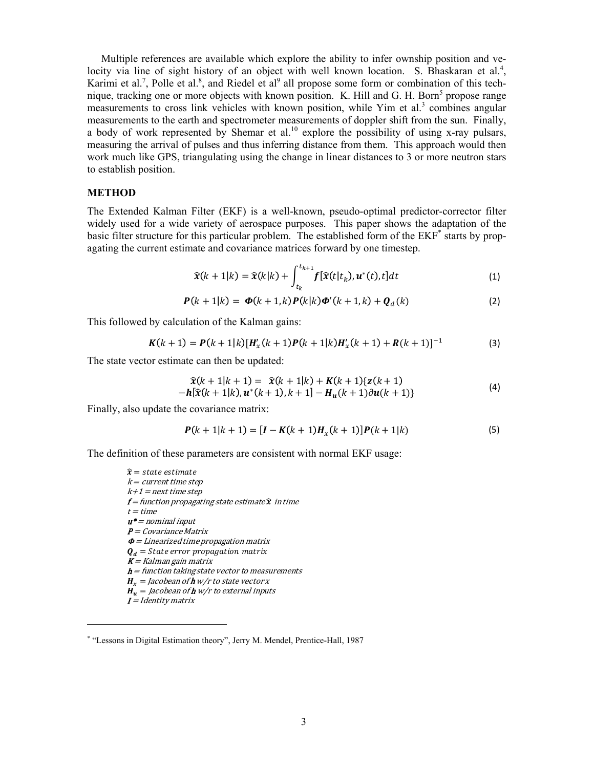Multiple references are available which explore the ability to infer ownship position and velocity via line of sight history of an object with well known location. S. Bhaskaran et al.<sup>4</sup>, Karimi et al.<sup>7</sup>, Polle et al.<sup>8</sup>, and Riedel et al<sup>9</sup> all propose some form or combination of this technique, tracking one or more objects with known position. K. Hill and G. H. Born<sup>5</sup> propose range measurements to cross link vehicles with known position, while Yim et al.<sup>3</sup> combines angular measurements to the earth and spectrometer measurements of doppler shift from the sun. Finally, a body of work represented by Shemar et al.<sup>10</sup> explore the possibility of using x-ray pulsars, measuring the arrival of pulses and thus inferring distance from them. This approach would then work much like GPS, triangulating using the change in linear distances to 3 or more neutron stars to establish position.

### **METHOD**

The Extended Kalman Filter (EKF) is a well-known, pseudo-optimal predictor-corrector filter widely used for a wide variety of aerospace purposes. This paper shows the adaptation of the basic filter structure for this particular problem. The established form of the EKF<sup>\*</sup> starts by propagating the current estimate and covariance matrices forward by one timestep.

$$
\widehat{\mathbf{x}}(k+1|k) = \widehat{\mathbf{x}}(k|k) + \int_{t_k}^{t_{k+1}} f[\widehat{\mathbf{x}}(t|t_k), \mathbf{u}^*(t), t]dt \tag{1}
$$

$$
P(k+1|k) = \Phi(k+1,k)P(k|k)\Phi'(k+1,k) + Q_d(k)
$$
 (2)

This followed by calculation of the Kalman gains:

$$
K(k+1) = P(k+1|k)[H'_x(k+1)P(k+1|k)H'_x(k+1) + R(k+1)]^{-1}
$$
 (3)

The state vector estimate can then be updated:

$$
\hat{\mathbf{x}}(k+1|k+1) = \hat{\mathbf{x}}(k+1|k) + \mathbf{K}(k+1)\{\mathbf{z}(k+1) - \mathbf{h}[\hat{\mathbf{x}}(k+1|k), \mathbf{u}^*(k+1), k+1] - \mathbf{H}_{\mathbf{u}}(k+1)\partial \mathbf{u}(k+1)\}\
$$
\n(4)

Finally, also update the covariance matrix:

$$
P(k+1|k+1) = [I - K(k+1)Hx(k+1)]P(k+1|k)
$$
\n(5)

The definition of these parameters are consistent with normal EKF usage:

 $\hat{x}$  = state estimate  $k = current time step$  $k+1$  = next time step  $f =$  function propagating state estimate  $\hat{x}$  in time  $t = time$  $u^*$  = nominal input  $P = Covariance Matrix$  $\boldsymbol{\phi}$  = Linearized time propagation matrix  $\boldsymbol{Q}_d$  = State error propagation matrix  $K =$  Kalman gain matrix  $h =$  function taking state vector to measurements  $H_r =$  Jacobean of **h** w/r to state vector x  $\mathbf{H}_{\mathbf{v}} =$  Jacobean of **h** w/r to external inputs

$$
I = Identity matrix
$$

-

<sup>\* &</sup>quot;Lessons in Digital Estimation theory", Jerry M. Mendel, Prentice-Hall, 1987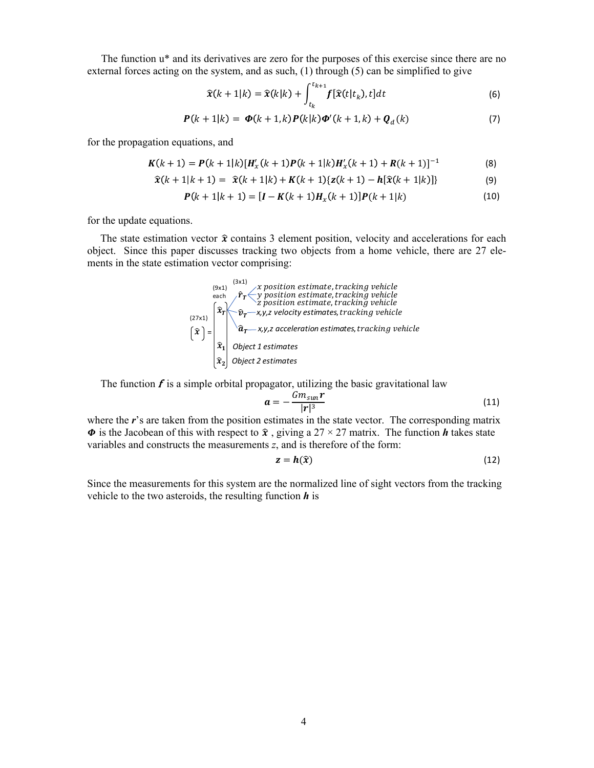The function u\* and its derivatives are zero for the purposes of this exercise since there are no external forces acting on the system, and as such, (1) through (5) can be simplified to give

$$
\widehat{\mathbf{x}}(k+1|k) = \widehat{\mathbf{x}}(k|k) + \int_{t_k}^{t_{k+1}} f[\widehat{\mathbf{x}}(t|t_k), t]dt
$$
\n(6)

$$
P(k+1|k) = \Phi(k+1,k) P(k|k) \Phi'(k+1,k) + Q_d(k)
$$
\n(7)

for the propagation equations, and

$$
K(k+1) = P(k+1|k)[H'_x(k+1)P(k+1|k)H'_x(k+1) + R(k+1)]^{-1}
$$
 (8)

$$
\widehat{\mathbf{x}}(k+1|k+1) = \widehat{\mathbf{x}}(k+1|k) + \mathbf{K}(k+1)\{\mathbf{z}(k+1) - \mathbf{h}[\widehat{\mathbf{x}}(k+1|k)]\} \tag{9}
$$

$$
P(k+1|k+1) = [I - K(k+1)Hx(k+1)]P(k+1|k)
$$
\n(10)

for the update equations.

The state estimation vector  $\hat{x}$  contains 3 element position, velocity and accelerations for each object. Since this paper discusses tracking two objects from a home vehicle, there are 27 elements in the state estimation vector comprising:



The function  $f$  is a simple orbital propagator, utilizing the basic gravitational law

$$
a = -\frac{Gm_{sun}r}{|r|^3} \tag{11}
$$

where the *r*'s are taken from the position estimates in the state vector. The corresponding matrix  $\Phi$  is the Jacobean of this with respect to  $\hat{\mathbf{x}}$ , giving a 27 × 27 matrix. The function *h* takes state variables and constructs the measurements *z*, and is therefore of the form:

$$
z = h(\hat{x}) \tag{12}
$$

Since the measurements for this system are the normalized line of sight vectors from the tracking vehicle to the two asteroids, the resulting function *h* is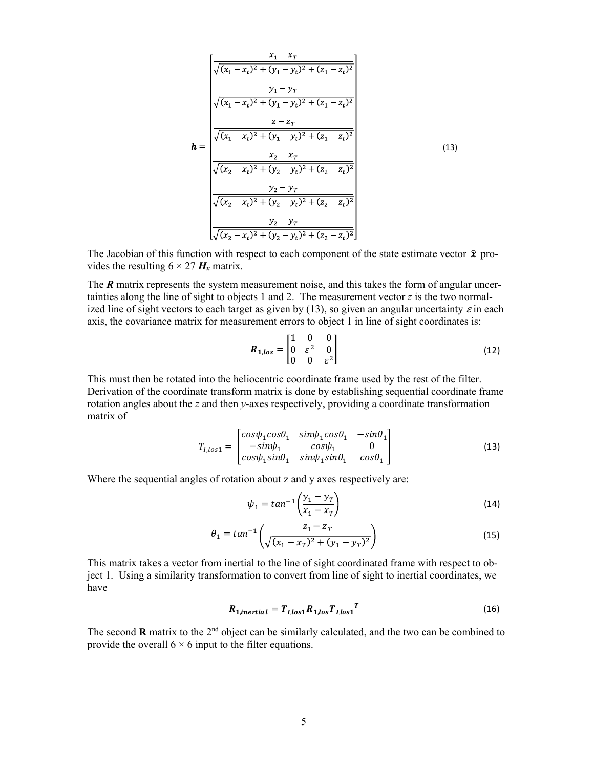$$
\mathbf{h} = \begin{bmatrix} \frac{x_1 - x_r}{\sqrt{(x_1 - x_t)^2 + (y_1 - y_t)^2 + (z_1 - z_t)^2}} \\ \frac{y_1 - y_r}{\sqrt{(x_1 - x_t)^2 + (y_1 - y_t)^2 + (z_1 - z_t)^2}} \\ \frac{z - z_r}{\sqrt{(x_1 - x_t)^2 + (y_1 - y_t)^2 + (z_1 - z_t)^2}} \\ \frac{x_2 - x_r}{\sqrt{(x_2 - x_t)^2 + (y_2 - y_t)^2 + (z_2 - z_t)^2}} \\ \frac{y_2 - y_r}{\sqrt{(x_2 - x_t)^2 + (y_2 - y_t)^2 + (z_2 - z_t)^2}} \\ \frac{y_2 - y_r}{\sqrt{(x_2 - x_t)^2 + (y_2 - y_t)^2 + (z_2 - z_t)^2}} \end{bmatrix}
$$
\n(13)

The Jacobian of this function with respect to each component of the state estimate vector  $\hat{x}$  provides the resulting  $6 \times 27$   $H_x$  matrix.

The **R** matrix represents the system measurement noise, and this takes the form of angular uncertainties along the line of sight to objects 1 and 2. The measurement vector *z* is the two normalized line of sight vectors to each target as given by (13), so given an angular uncertainty  $\varepsilon$  in each axis, the covariance matrix for measurement errors to object 1 in line of sight coordinates is:

$$
R_{1,los} = \begin{bmatrix} 1 & 0 & 0 \\ 0 & \varepsilon^2 & 0 \\ 0 & 0 & \varepsilon^2 \end{bmatrix}
$$
 (12)

This must then be rotated into the heliocentric coordinate frame used by the rest of the filter. Derivation of the coordinate transform matrix is done by establishing sequential coordinate frame rotation angles about the *z* and then *y*-axes respectively, providing a coordinate transformation matrix of

$$
T_{I,los1} = \begin{bmatrix} cos\psi_1 cos\theta_1 & sin\psi_1 cos\theta_1 & -sin\theta_1 \\ -sin\psi_1 & cos\psi_1 & 0 \\ cos\psi_1 sin\theta_1 & sin\psi_1 sin\theta_1 & cos\theta_1 \end{bmatrix}
$$
 (13)

Where the sequential angles of rotation about z and y axes respectively are:

$$
\psi_1 = \tan^{-1}\left(\frac{y_1 - y_T}{x_1 - x_T}\right) \tag{14}
$$

$$
\theta_1 = \tan^{-1}\left(\frac{z_1 - z_T}{\sqrt{(x_1 - x_T)^2 + (y_1 - y_T)^2}}\right) \tag{15}
$$

This matrix takes a vector from inertial to the line of sight coordinated frame with respect to object 1. Using a similarity transformation to convert from line of sight to inertial coordinates, we have

$$
R_{1, inertial} = T_{I, los1} R_{1, los} T_{I, los1}^T
$$
 (16)

The second  $\bf{R}$  matrix to the  $2<sup>nd</sup>$  object can be similarly calculated, and the two can be combined to provide the overall  $6 \times 6$  input to the filter equations.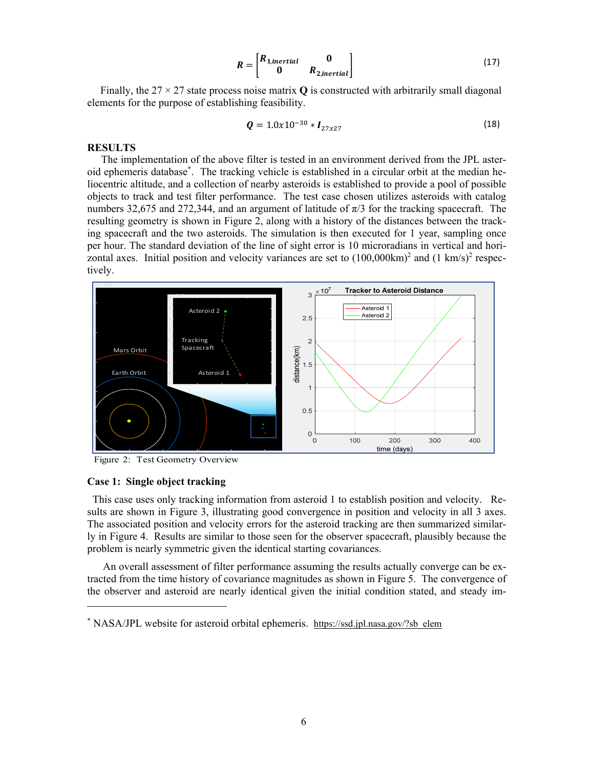$$
R = \begin{bmatrix} R_{1, inertial} & 0 \\ 0 & R_{2, inertial} \end{bmatrix} \tag{17}
$$

Finally, the  $27 \times 27$  state process noise matrix **Q** is constructed with arbitrarily small diagonal elements for the purpose of establishing feasibility.

$$
Q = 1.0x10^{-30} * I_{27x27}
$$
 (18)

#### **RESULTS**

The implementation of the above filter is tested in an environment derived from the JPL asteroid ephemeris database\* . The tracking vehicle is established in a circular orbit at the median heliocentric altitude, and a collection of nearby asteroids is established to provide a pool of possible objects to track and test filter performance. The test case chosen utilizes asteroids with catalog numbers 32,675 and 272,344, and an argument of latitude of  $\pi/3$  for the tracking spacecraft. The resulting geometry is shown in Figure 2, along with a history of the distances between the tracking spacecraft and the two asteroids. The simulation is then executed for 1 year, sampling once per hour. The standard deviation of the line of sight error is 10 microradians in vertical and horizontal axes. Initial position and velocity variances are set to  $(100,000 \text{km})^2$  and  $(1 \text{ km/s})^2$  respectively.



Figure 2: Test Geometry Overview

#### **Case 1: Single object tracking**

 $\overline{\phantom{a}}$ 

 This case uses only tracking information from asteroid 1 to establish position and velocity. Results are shown in Figure 3, illustrating good convergence in position and velocity in all 3 axes. The associated position and velocity errors for the asteroid tracking are then summarized similarly in Figure 4. Results are similar to those seen for the observer spacecraft, plausibly because the problem is nearly symmetric given the identical starting covariances.

 An overall assessment of filter performance assuming the results actually converge can be extracted from the time history of covariance magnitudes as shown in Figure 5. The convergence of the observer and asteroid are nearly identical given the initial condition stated, and steady im-

<sup>\*</sup> NASA/JPL website for asteroid orbital ephemeris. https://ssd.jpl.nasa.gov/?sb\_elem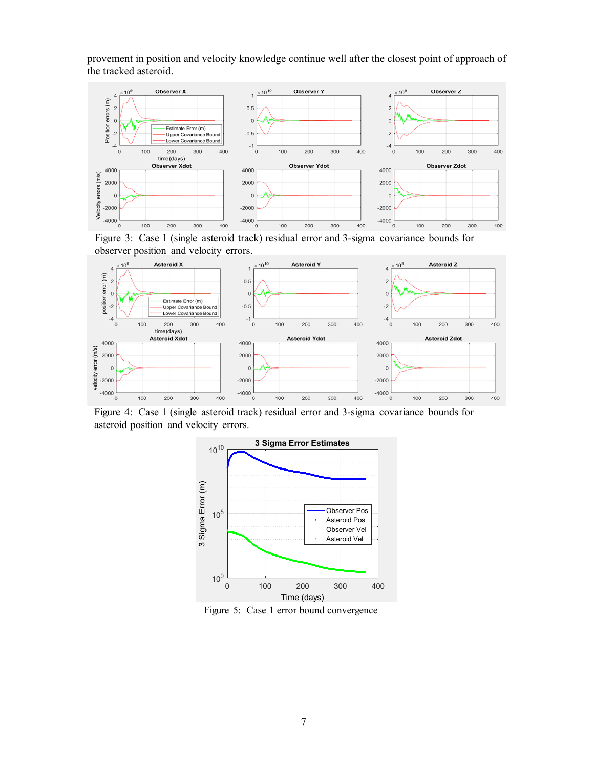provement in position and velocity knowledge continue well after the closest point of approach of the tracked asteroid.



Figure 3: Case 1 (single asteroid track) residual error and 3-sigma covariance bounds for observer position and velocity errors.



Figure 4: Case 1 (single asteroid track) residual error and 3-sigma covariance bounds for asteroid position and velocity errors.



Figure 5: Case 1 error bound convergence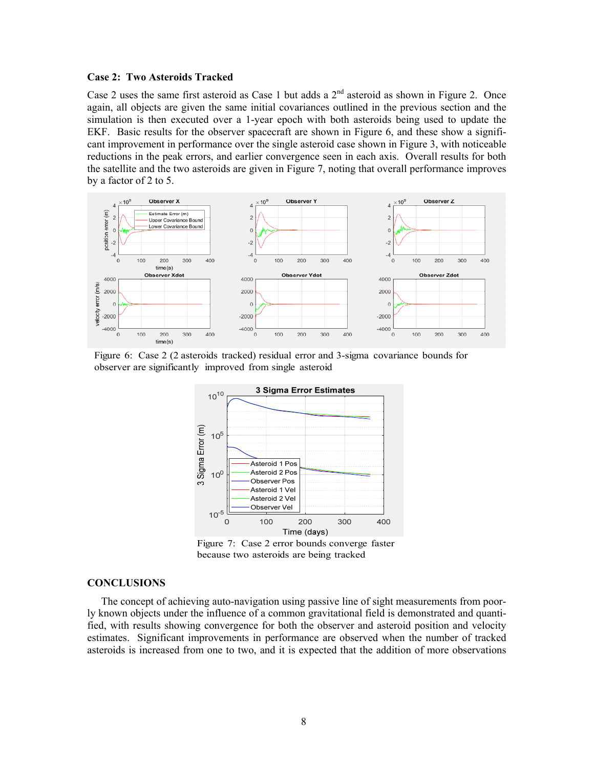#### **Case 2: Two Asteroids Tracked**

Case 2 uses the same first asteroid as Case 1 but adds a  $2<sup>nd</sup>$  asteroid as shown in Figure 2. Once again, all objects are given the same initial covariances outlined in the previous section and the simulation is then executed over a 1-year epoch with both asteroids being used to update the EKF. Basic results for the observer spacecraft are shown in Figure 6, and these show a significant improvement in performance over the single asteroid case shown in Figure 3, with noticeable reductions in the peak errors, and earlier convergence seen in each axis. Overall results for both the satellite and the two asteroids are given in Figure 7, noting that overall performance improves by a factor of 2 to 5.



Figure 6: Case 2 (2 asteroids tracked) residual error and 3-sigma covariance bounds for observer are significantly improved from single asteroid



Figure 7: Case 2 error bounds converge faster because two asteroids are being tracked

#### **CONCLUSIONS**

The concept of achieving auto-navigation using passive line of sight measurements from poorly known objects under the influence of a common gravitational field is demonstrated and quantified, with results showing convergence for both the observer and asteroid position and velocity estimates. Significant improvements in performance are observed when the number of tracked asteroids is increased from one to two, and it is expected that the addition of more observations